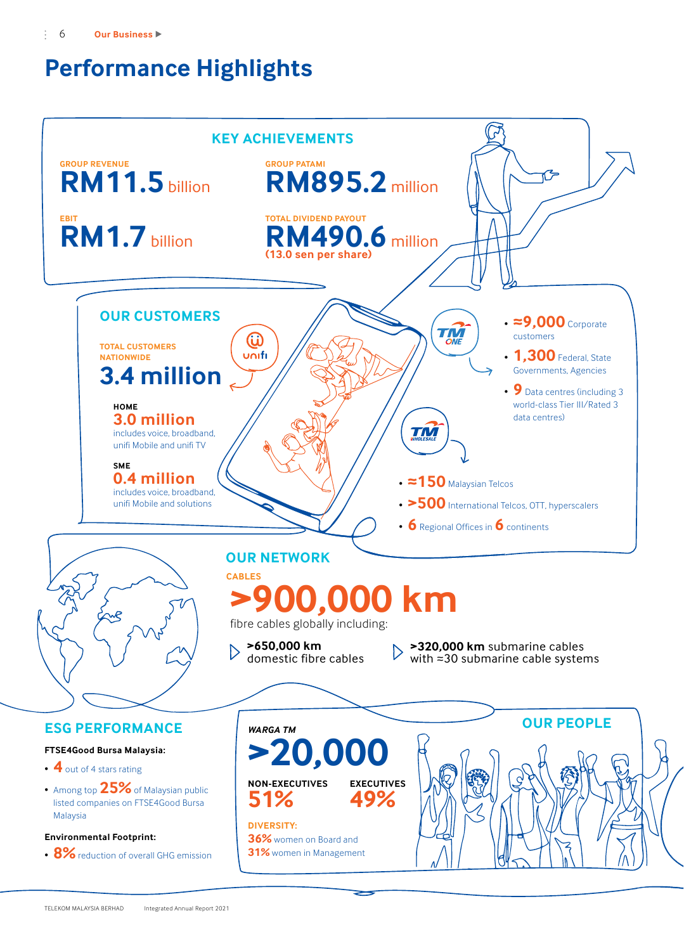# **Performance Highlights**